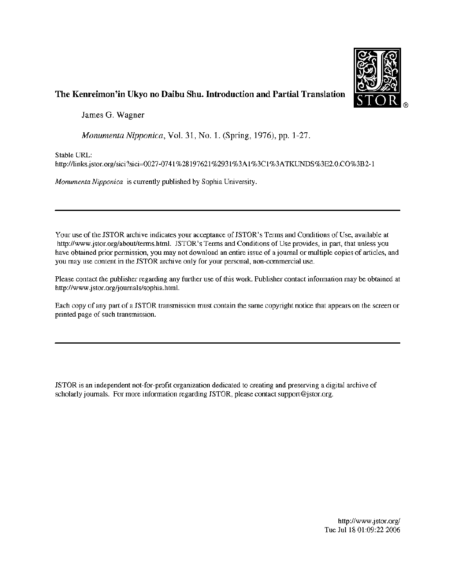

#### The Kenreimon'in Ukyo no Daibu Shu. Introduction and Partial Translation

James G. Wagner

Monumenta Nipponica, Vol. 31, No. 1. (Spring, 1976), pp. 1-27.

Stable URL:

http:/links.jstor.org/sici ?sici=0027-074 <sup>1</sup> %28197621%293 1%3A1%3C1%3ATKUNDS@3E2.0.CO%3B2-1

Monumenta Nipponica is currently published by Sophia University.

Your use of the ISTOR archive indicates your acceptance of ISTOR's Terms and Conditions of Use, available at http://www.jstor.org/about/terms.html. ISTOR's Terms and Conditions of Use provides, in part, that unless you have obtained prior permission, you may not download an entire issue of a journal or multiple copies of articles, and you may use content in the JSTOR archive only for your personal, non-commercial use. The Kenreimon'in Ukyo no Daibu Shu. Introduction and Partial Translation<br>
Interest C. Wagner<br>
Monumenta Nipponica, Vol. 31, No. I. (Spring, 1976), pp. 1-27.<br>
Simble URL:<br>
Monumenta Nipponica is currently published by Sophi

Please contact the publisher regarding any further use of this work. Publisher contact information may be obtained at http://www.jstor.org/journals/sophia.heml.

Each copy of any part of a JSTOR transmission must contain the same copyright notice that appears on the screen or printed page of such transmission.

ISTOR is an independent not-for-profit organization dedicated to creating and preserving a digital archive of scholarly journals. For more information regarding ISTOR, please contact support@jstor.org.

> //www.jstor.org/<br>8 01:09:22 2006 http://www.jstor.org/ Tue Jul 18 01:09:22 2006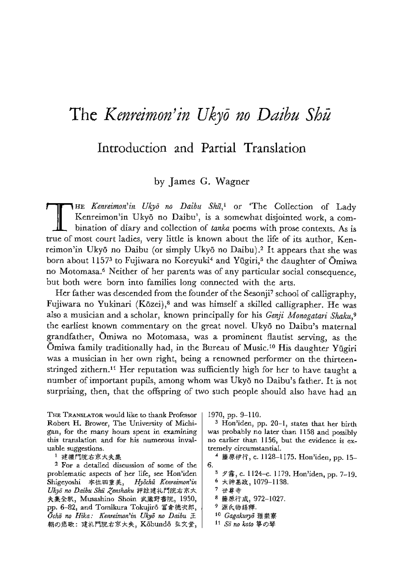# The Kenreimon'in Ukyō no Daibu Shū

### Introduction and Partial Translation

#### by James G. Wagner

HE Kenreimon'in Ukyō no Daibu Shū,<sup>1</sup> or 'The Collection of Lady Kenreimon'in Ukyō no Daibu', is a somewhat disjointed work, a combination of diary and collection of tanka poems with prose contexts. As is true of most court ladies, very little is known about the life of its author, Kenreimon'in Ukyō no Daibu (or simply Ukyō no Daibu).<sup>2</sup> It appears that she was born about 1157<sup>3</sup> to Fujiwara no Koreyuki<sup>4</sup> and Yūgiri,<sup>5</sup> the daughter of Omiwa no Motomasa.' Neither of her parents was of any particular social consequence, but both were born into families long connected with the arts.

Her father was descended from the founder of the Sesonji' school of calligraphy, Fujiwara no Yukinari (Kazei),8 and was himself a skilled calligrapher. He was also a musician and a scholar, known principally for his Genji Monogatari Shaku,<sup>9</sup> the earliest known commentary on the great novel. Ukyd no Daibu's maternal grandfather, Omiwa no Motomasa, was a prominent flautist serving, as the Omiwa family traditionally had, in the Bureau of Music.<sup>10</sup> His daughter Yūgiri was a musician in her own right, being a renowned performer on the thirteenstringed zithern.<sup>11</sup> Her reputation was sufficiently high for her to have taught a number of important pupils, among whom was Ukyō no Daibu's father. It is not surprising, then, that the offspring of two such people should also have had an

THE TRANSLATOR would like to thank Professor  $|1970, pp. 9-110$ . Robert H. Brower, The University of Michigan, for the many hours spent in examining this translation and for his numerous invaluable suggestions.

1 建禮門院右京大夫集

2 For a detailed discussion of some of the problematic aspects of her life, see Hon'iden problematic aspects of her life, see Hon'iden<br>Shigeyoshi 本位田重美, *Hyōchū Kenreimon'in*<br>Ukyō no Daibu Shū Zenshaku 評註建礼門院右京大 Ukyō no Daibu Shū Zenshaku 評註建礼門院右京大 夫集全釈, Musashino Shoin 武蔵野書院, 1950,<br>pp. 6-82, and Tomikura Tokujirō 冨倉徳次郎,  $\bar{O}$ chō no Hika: Kenreimon'in Ukyō no Daibu  $\pm$ 朝の悲歌: 建礼門院右京大夫, Kobundo 弘文堂,

<sup>3</sup> Hon'iden, pp. 20-1, states that her birth was probably no Jater than 1158 and possibly no earlier than 1156, but the evidence is extremely circumstantial.

4 藤原伊行, c. 1128-1175. Hon'iden, pp. 15-6.

 $5 \times$   $\frac{1124}{-c}$ . 1179. Hon'iden, pp. 7-19.

- 6 大神基政, 1079-1138. 7 世尊寺
- 8 藤原行成, 972-1027.
- 9 源氏物語釋.
- 10 Gagakuryō 雅樂寮
- 11 So no koto 箏の琴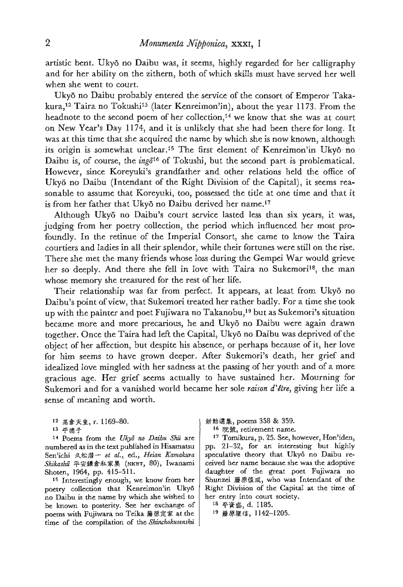artistic bent. Ukyō no Daibu was, it seems, highly regarded for her calligraphy and for her ability on the zithern, both of which skills must have served her well when she went to court.

Ukyé no Daibu probably entered the service of the consort of Emperor Takakura,<sup>12</sup> Taira no Tokushi<sup>13</sup> (later Kenreimon'in), about the year 1173. From the headnote to the second poem of her collection,<sup>14</sup> we know that she was at court on New Year's Day 1174, and it is unlikely that she had been there for long. It was at this time that she acquired the name by which she is now known, although its origin is somewhat unclear.<sup>15</sup> The first element of Kenreimon'in Ukyō no Daibu is, of course, the  $ing\bar{\sigma}^{16}$  of Tokushi, but the second part is problematical. However, since Koreyuki's grandfather and other relations held the office of Ukyõ no Daibu (Intendant of the Right Division of the Capital), it seems reasonable to assume that Koreyuki, too, possessed the title at one time and that it is from her father that Ukyō no Daibu derived her name.<sup>17</sup>

Although Ukyé no Daibu's court service lasted less than six years, it was, judging from her poetry collection, the period which influenced her most profoundly. In the retinue of the Imperial Consort, she came to know the Taira courtiers and ladies in all their splendor, while their fortunes werestill on therise. There she met the many friends whose loss during the Gempei War would grieve her so deeply. And there she fell in love with Taira no Sukemori<sup>18</sup>, the man whose memory she treasured for the rest of her life.

Their relationship was far from perfect. It appears, at least from Ukyō no Daibu's point of view, that Sukemori treated her rather badly. For a time she took up with the painter and poet Fujiwara no Takanobu,<sup>19</sup> but as Sukemori's situation became more and more precarious, he and Ukyō no Daibu were again drawn together. Once the Taira had left the Capital, Ukyō no Daibu was deprived of the object of her affection, but despite his absence, or perhaps because of it, her love for him seems to have grown deeper. After Sukemori's death, her grief and idealized love mingled with her sadness at the passing of her youth and of a more gracious age. Her grief seems actually to have sustained her. Mourning for Sukemori and for a vanished world became her sole raison d'être, giving her life a sense of meaning and worth.

12 高倉天皇, r. 1169-80.

13 平德子

14 Poems from the Ukyō no Daibu Shū are numbered asin the text published in Hisamatsu Sen'ichi 久松潜一 et al., ed., Heian Kamakura Shikashū 平安鎌倉私家集 (NKBT, 80), Iwanami Shoten, 1964, pp. 415-511.

<sup>15</sup> Interestingly enough, we know from her poetry collection that Kenreimon'in Ukyé no Daibu is the name by which she wished to ho Danbu is the hame by which she wished to<br>be known to posterity. See her exchange of<br>poems with Fujiwara no Teika 藤原定家 at the time of the compilation of the Shinchokusenshu **新**勅選集, poems 358 & 359.

16 院號, retirement name.

<sup>17</sup> Tomikura, p. 25. See, however, Hon'iden, pp. 21-32, for an interesting but highly speculative theory that Ukyō no Daibu received her name because she was the adoptive daughter of the great poet Fujiwara no Shunzei 藤原俊成, who was Intendant of the Right Division of the Capital at the time of her entry into court society.

18 平資盛, d. 1185.

19 藤原隆信, 1142-1205.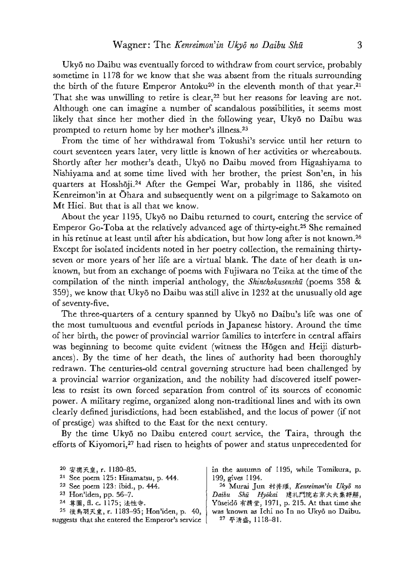Ukyé no Daibu was eventually forced to withdraw from court service, probably sometime in 1178 for we know that she was absent from the rituals surrounding the birth of the future Emperor Antoku<sup>20</sup> in the eleventh month of that year.<sup>21</sup> That she was unwilling to retire is clear, $22$  but her reasons for leaving are not. Although one can imagine a number of scandalous possibilities, it seems most likely that since her mother died in the following year, Ukyō no Daibu was prompted to return home by her mother's illness.<sup>23</sup>

From the time of her withdrawal from Tokushi's service until her return to court seventeen years later, very little is known of her activities or whereabouts. Shortly after her mother's death, Ukyō no Daibu moved from Higashiyama to Nishiyama and at some time lived with her brother, the priest Son'en, in his quarters at Hosshaji.24 After the Gempei War, probably in 1186, she visited Kenreimon'in at Ohara and subsequently went on a pilgrimage to Sakamoto on Mt Hiei. But that is all that we know.

About the year 1195, Ukyō no Daibu returned to court, entering the service of Emperor Go-Tobaat the relatively advanced age of thirty-eight.25 She remained in his retinue at least until after his abdication, but how long after is not known. Except for isolated incidents noted in her poetry collection, the remaining thirtyseven or more years of her life are a virtual blank. The date of her death is unknown, but from an exchange of poems with Fujiwara no Teika at the timeof the compilation of the ninth imperial anthology, the Shinchokusenshu (poems 358  $\&$ 359), we know that Ukyé no Daibu wasstill alive in 1232 at the unusually old age of seventy-five.

The three-quarters of a century spanned by Ukyō no Daibu's life was one of the most tumultuous and eventful periods in Japanese history. Around the time of her birth, the powerof provincial warrior families to interfere in central affairs was beginning to become quite evident (witness the Hōgen and Heiji disturbances). By the time of her death, the lines of authority had been thoroughly redrawn. The centuries-old central governing structure had been challenged by a provincial warrior organization, and the nobility had. discovered itself powerless to resist its own forced separation from control of its sources of economic power. A military regime, organized along non-traditional lines and with its own clearly defined jurisdictions, had been established, and the locus of power (if not of prestige) was shifted to the East for the next century.

By the time Ukyō no Daibu entered court service, the Taira, through the efforts of Kiyomori,<sup>27</sup> had risen to heights of power and status unprecedented for

| <sup>20</sup> 安德天皇, r. 1180-85.                   | in the autumn of 1195, while Tomikura, p.         |
|---------------------------------------------------|---------------------------------------------------|
| $21$ See poem 125: Hisamatsu, p. 444.             | 199, gives 1194.                                  |
| $22$ See poem 123: ibid., p. 444.                 | <sup>26</sup> Murai Jun 村井順, Kenreimon'in Ukyō no |
| $23$ Hon'iden, pp. 56-7.                          | Daibu Shū Hyōkai 建礼門院右京大夫集評解,                     |
| 24 算圆, fl. c. 1175; 法性寺.                          | Yūseidō 有精堂, 1971, p. 215. At that time she       |
| <sup>25</sup> 後鳥羽天皇, r. 1183-95; Hon'iden, p. 40, | was known as Ichi no In no Ukyō no Daibu.         |
| suggests that she entered the Emperor's service   | 27 平清盛, 1118-81.                                  |
|                                                   |                                                   |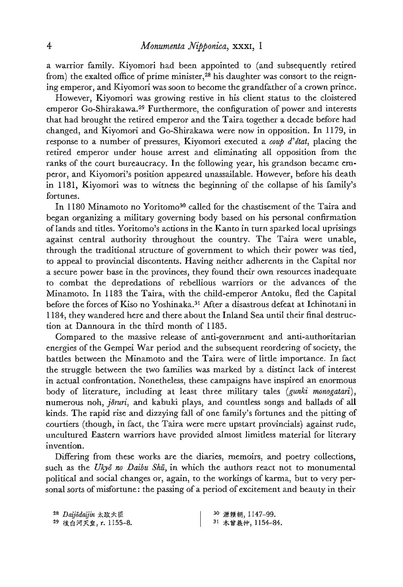a warrior family. Kiyomori had been appointed to (and subsequently retired from) the exalted office of prime minister, $28$  his daughter was consort to the reigning emperor, and Kiyomori was soon to become the grandfather of a crown prince.

However, Kiyomori was growing restive in his client status to the cloistered emperor Go-Shirakawa.<sup>29</sup> Furthermore, the configuration of power and interests that had brought the retired emperor and the Taira together a decade before had changed, and Kiyomori and Go-Shirakawa were now in opposition. In 1179, in response to a number of pressures, Kiyomori executed a coup d'état, placing the retired emperor under house arrest and eliminating ali opposition from the ranks of the court bureaucracy. In the following year, his grandson became emperor, and Kiyomori's position appeared unassailable. However, before his death in 1181, Kiyomori was to witness the beginning of the collapse of his family's fortunes.

In 1180 Minamoto no Yoritomo<sup>30</sup> called for the chastisement of the Taira and began organizing a military governing body based on his personal confirmation of lands and titles. Yoritomo's actions in the Kanto in turn sparked local uprisings against central authority throughout the country. The Taira were unable, through the traditional structure of government to which their power was tied, to appeal to provincial discontents. Having neither adherents in the Capital nor a secure power base in the provinces, they found their own resources inadequate to combat the depredations of rebellious warriors or the advances of the Minamoto. In 1183 the Taira, with the child-emperor Antoku, fled the Capital before the forces of Kiso no Yoshinaka.<sup>31</sup> After a disastrous defeat at Ichinotani in 1184, they wandered here and there about the Inland Sea until their final destruction at Dannoura in the third month of 1185.

Compared to the massive release of anti-government and anti-authoritarian energies of the Gempei War period and the subsequent reordering of society, the battles between the Minamoto and the Taira were of little importance. In fact the struggle between the two families was marked by a distinct lack of interest in actual confrontation. Nonetheless, these campaigns have inspired an enormous body of literature, including at least three military tales (gunki monogatari), numerous noh, jõruri, and kabuki plays, and countless songs and ballads of all kinds. The rapid rise and dizzying fall of one family's fortunes and the pitting of courtiers (though, in fact, the Taira were mere upstart provincials) against rude, uncultured Eastern warriors have provided aimost limitless material for literary invention.

Differing from these works are the diaries, memoirs, and poetry collections, such as the Ukyō no Daibu Shū, in which the authors react not to monumental political and social changes or, again, to the workings of karma, but to very personal sorts of misfortune: the passing of a period of excitement and beauty in their NetHrom.<br>Differing from the<br>ch as the *Ukyō no*<br>blitical and social cond sorts of misfort<br><sup>28</sup> *Daijōdaijin* 太政大臣<br><sup>29</sup> 後白河天皇, r. 1155

| <sup>28</sup> Daijodaijin 太政大臣  | 30 源賴朝, 1147-99.  |
|---------------------------------|-------------------|
| <sup>29</sup> 後白河天皇, r. 1155-8. | 31 木留義仲, 1154-84. |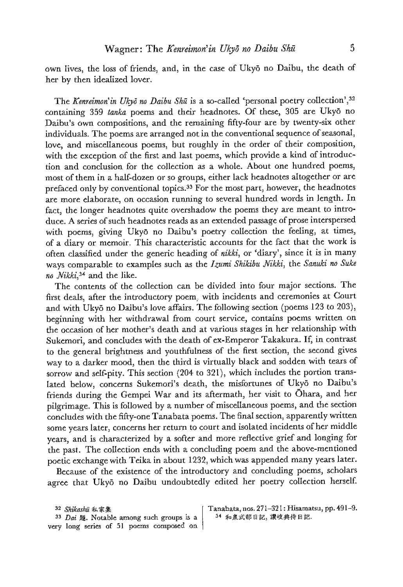own lives, the loss of friends, and, in the case of Ukyō no Daibu, the death of her by then idealized lover.

The Kenreimon'in Ukyō no Daibu Shū is a so-called 'personal poetry collection',  $32$ containing 359 fanka poems and their headnotes. Of these, 305 are Ukyd no Daibu's own compositions, and the remaining fifty-four are by twenty-six other individuals. The poems are arranged not in the conventional sequence of seasonal, love, and miscellaneous poems, but roughly in the order of their composition, with the exception of the first and last poems, which provide a kind of introduction and conclusion for the collection as a whole. About one hundred poems, most of them in a half-dozen or so groups, either lack headnotes altogether or are prefaced only by conventional topics.<sup>33</sup> For the most part, however, the headnotes are more elaborate, on occasion running to several hundred words in length. In fact, the longer headnotes quite overshadow the poems they are meant to introduce. A series of such headnotes reads as an extended passage of prose interspersed with poems, giving Ukyō no Daibu's poetry collection the feeling, at times, of a diary or memoir. This characteristic accounts for the fact that the work is often classified under the generic heading of nikki, or 'diary', since it is in many ways comparable to examples such as the Izumi Shikibu Nikki, the Sanuki no Suke no Nikki,<sup>34</sup> and the like.

The contents of the collection can be divided into four major sections. The first deals, after the introductory poem, with incidents and ceremonies at Court and with Ukyé no Daibu's love affairs. The following section (poems 123 to 203), beginning with her withdrawal from court service, contains poems written on the occasion of her mother's death and at various stages in her relationship with Sukemori, and concludes with the death of ex-Emperor Takakura.If, in contrast to the general brightness and youthfulness of the first section, the second gives way to a darker mood, then the third is virtually black and sodden with tears of sorrow and self-pity. This section (204 to 321), which includes the portion translated below, concerns Sukemori's death, the misfortunes of Ukyo no Daibu's friends during the Gempei War and its aftermath, her visit to Ohara, and her pilgrimage. This is followed by <sup>a</sup> numberofmiscellaneous poems, and the section concludes with the fifty-one Tanabata poems. The final section, apparently written some years later, concerns her return to court andisolated incidents of her middle years, and is characterized by a softer and more reflective grief and longing for the past. The collection ends with a concluding poem and the above-mentioned poetic exchange with Teika in about 1232, which was appended many years later.

Because of the existence of the introductory and concluding poems, scholars agree that Ukyō no Daibu undoubtedly edited her poetry collection herself.

 $23$  Dai 题. Notable among such groups is a |  $34$  和泉式部日記, 讃岐典侍日記. very long series of 5] paems composed on,

<sup>32</sup> Shikashit RR Tanabata, nos. 271-321: Hisamatsu, pp. 491-9.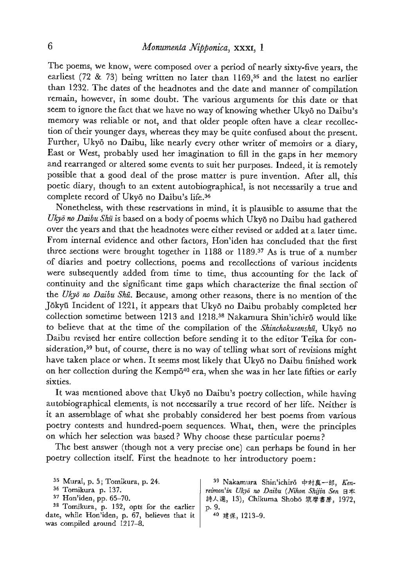The poems, we know, were composed over a period of nearly sixty-five years, the earliest (72 & 73) being written no later than 1169,35 and the latest no earlier than 1232. The dates of the headnotes and the date and manner of compilation remain, however, in some doubt. The various arguments for this date or that seem to ignore the fact that we have no way of knowing whether Ukyō no Daibu's memory was reliable or not, and that older people often have a clear recollection of their younger days, whereas they may be quite confused about the present. Further, Uky6 no Daibu, like nearly every other writer of memoirs or a diary, East or West, probably used her imagination to fill in the gaps in her memory and rearranged or altered some events to suit her purposes. Indeed, it is remotely possible that a good deal of the prose matter is pure invention. After all, this poetic diary, though to an extent autobiographical, is not necessarily a true and complete record of Ukyō no Daibu's life.<sup>36</sup>

Nonetheless, with these reservations in mind, it is plausible to assume that the Ukyō no Daibu Shū is based on a body of poems which Ukyō no Daibu had gathered over the years and that the headnotes were either revised or added at a later time. From internal evidence and other factors, Hon'iden has concluded that the first three sections were brought together in 1188 or 1189.37 As is true of a number of diaries and poetry collections, poems and recollections of various incidents were subsequently added from time to time, thus accounting for the lack of continuity and the significant time gaps which characterize the final section of the Ukyō no Daibu Shū. Because, among other reasons, there is no mention of the Jokyi Incident of 1221, it appears that Ukya no Daibu probably completed her collection sometime between 1213 and 1218.<sup>38</sup> Nakamura Shin'ichirō would like to believe that at the time of the compilation of the Shinchokusenshū, Ukyō no Daibu revised her entire collection before sending it to the editor Teika for consideration,<sup>39</sup> but, of course, there is no way of telling what sort of revisions might have taken place or when. It seems most likely that Ukyō no Daibu finished work on her collection during the Kempō<sup>40</sup> era, when she was in her late fifties or early sixties.

It was mentioned above that Ukyé no Daibu's poetry collection, while having autobiographical elements, is not necessarily a true record of her life. Neither is it an assemblage of what she probably considered her best poems from various poetry contests and hundred-poem sequences. What, then, were the principles on which her selection was based? Why choose these particular poems?

The best answer (though not a very precise one) can perhaps be foundin her poetry collection itself. First the headnote to her introductory poem:

 $35$  Murai, p. 5; Tomikura, p. 24.  $|$   $39$  Nakamura Shin'ichiró 中村真一郎, Ken-36 Tomikura p. 137. <br>
37 Hon'iden, pp. 65–70. <br>
37 Hon'iden, pp. 65–70. <br>
37 Hon'iden, pp. 65–70. <br>
37 Hon'iden, pp. 65–70. 詩人選, 13), Chikuma Shobō 筑摩書房, 1972,  $38$  Tomikura, p. 132, opts for the earlier p. 9. date, while Hon'iden, p. 67, believes that it  $\begin{bmatrix} 1 & 40 \end{bmatrix}$  #  $\mathcal{R}$ , 1213-9. was compiled around 1217-8.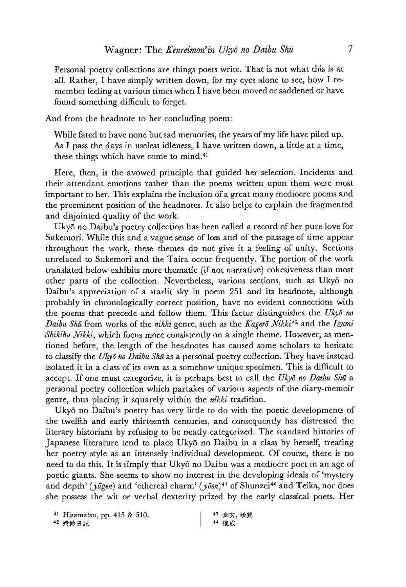Personal poetry collections are things poets write. That is not what this is at all. Rather, <sup>I</sup> have simply written down, for my eyes aloneto see, how <sup>I</sup> remember feeling at various times when I have been moved or saddened or have found something difficult to forget.

And from the headnote to her concluding poem:

While fated to have none but sad memories, the years of my life have piled up. As I pass the days in useless idleness, I have written down, a little at a time, these things which have come to mind.<sup>41</sup>

Here, then, is the avowed principle that guided her selection. Incidents and their attendant emotions rather than the poems written upon them were most important to her. This explains the inclusion of a great many mediocre poems and the preeminent position of the headnotes. It also helps to explain the fragmented and disjointed quality of the work.

Ukyé no Daibu's poetry collection has been called a record of her pure love for Sukemori. While this and a vague sense of Joss and of the passage of time appear throughout the work, these themes do not give it a feeling of unity. Sections unrelated to Sukemori and the Taira occur frequently. The portion of the work translated below exhibits more thematic (if not narrative) cohesiveness than most other parts of the collection. Nevertheless, various sections, such as Ukyd no Daibu's appreciation of a starlit sky in poem 251 and its headnote, although probably in chronologically correct position, have no evident connections with the poems that precede and follow them. This factor distinguishes the Ukyō no Daibu Shū from works of the nikki genre, such as the Kagerō Nikki<sup>42</sup> and the Izumi Shikibu Nikki, which focus more consistently on a single theme. However, as mentioned before, the length of the headnotes has caused somescholars to hesitate to classify the Ukyō no Daibu Shū as a personal poetry collection. They have instead isolated it in a class of its own as a somehow unique specimen. Thisis difficult to accept. If one must categorize, it is perhaps best to call the Uky<sub> $\bar{o}$ </sub> no Daibu Shu a personal poetry collection which partakes of various aspects of the diary-memoir genre, thus placing it squarely within the nikki tradition.

Ukyé no Daibu's poetry has very little to do with the poetic developments of the twelfth and early thirteenth centuries, and consequently has distressed the literary historians by refusing to be neatly categorized. The standard histories of Japanese literature tend to place Ukyō no Daibu in a class by herself, treating her poetry style as an intensely individual development. Of course, there is no need to do this. It is simply that Uky6 no Daibu was a mediocre poet in an age of poetic giants. She seems to show no interest in the developing ideals of 'mystery and depth' ( $y\bar{u}gen$ ) and 'ethereal charm' ( $y\bar{v}en$ )<sup>43</sup> of Shunzei<sup>44</sup> and Teika, nor does she possess the wit or verbal dexterity prized by the early classical poets. Her

<sup>&</sup>lt;sup>41</sup> Hisamatsu, pp. 415 & 510.  $1^{43}$  幽玄,妖艶 <sup>40</sup> Me Biz <sup>44</sup> BR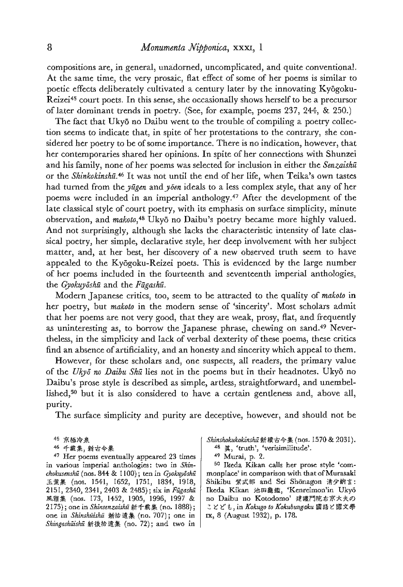compositions are, in general, unadorned, uncomplicated, and quite conventional. At the same time, the very prosaic, flat effect of some of her poems is similar to poetic effects deliberately cultivated a century later by the innovating Kyégoku-Reizei<sup>45</sup> court poets. In this sense, she occasionally shows herself to be a precursor of later dominant trends in poetry. (See, for example, poems 237, 244, & 250.)

The fact that Ukyō no Daibu went to the trouble of compiling a poetry collection seems to indicate that, in spite of her protestations to the contrary, she considered her poetry to be of some importance. There is no indication, however, that her contemporaries shared her opinions. In spite of her connections with Shunzei and his family, none of her poems was selected for inclusion in either the Senzaishū or the Shinkokinshū.<sup>46</sup> It was not until the end of her life, when Teika's own tastes had turned from the  $p\bar{u}q\bar{e}n$  and  $p\bar{e}n$  ideals to a less complex style, that any of her poems were included in an imperial anthology.<sup>47</sup> After the development of the late classical style of court poetry, with its emphasis on surface simplicity, minute observation, and makoto,4® Uky6 no Daibu's poetry became more highly valued. And not surprisingly, although she lacks the characteristic intensity of late classical poetry, her simple, declarative style, her deep involvement with her subject matter, and, at her best, her discovery of a new observed truth seem to have appealed to the Kyōgoku-Reizei poets. This is evidenced by the large number of her poems included in the fourteenth and seventeenth imperial anthologies, the Gyokuyōshū and the Fūgashū.

Modern Japanese critics, too, seem to be attracted to the quality of makoto in her poetry, but makoto in the modern sense of 'sincerity'. Most scholars admit that her poems are not very good, that they are weak, prosy, flat, and frequently as uninteresting as, to borrow the Japanese phrase, chewing on sand.4? Nevertheless, in the simplicity and lack of verbal dexterity of these poems, these critics find an absence of artificiality, and an honesty and sincerity which appeal to them.

However, for these scholars and, one suspects, all readers, the primary value of the Ukyō no Daibu Shū lies not in the poems but in their headnotes. Ukyō no Daibu's prose style is described as simple, artless, straightforward, and unembellished,<sup>50</sup> but it is also considered to have a certain gentleness and, above all, purity.

The surface simplicity and purity are deceptive, however, and should not be

46 千載集, 新古今集

<sup>47</sup> Her poems eventually appeared 23 times in various imperial anthologies: two in Shin chokusenshū (nos. 844 & 1100); ten in Gyokuyōshū<br>玉葉集 (nos. 1541, 1652, 1751, 1834, 1918,<br>2151, 2340, 2341, 2403 & 2485); six in Fūgashū<br>風雅集 (nos. 173, 1452, 1905, 1996, 1997 & 2175); one in *Shinsenzaishū* 新千載集 (no. 1888); one in Shinshuishu 新拾遺集 (no. 707); one in Shingashūishū 新後拾遺集 (no. 72); and two in

Shinshokukokinshū 新織古今集 (nos. 1570 & 2031).

- $48$  眞, 'truth', 'verisimilitude'.<br>  $49$  Murai, p. 2.
- 

<sup>50</sup> Ikeda Kikan calls her prose style 'com monplace' in comparison with that of Murasaki Shikibu 紫式部 and Sei Shōnagon 清少納言: Ikeda Kikan 池田龜鑑, 'Kenreimon'in Ukyō no Daibu no Kotodomo' 建禮門院右京大夫の<br>ことども, in Kokugo to Kokubungaku 國語と國文學 1x, 8 (August 1932), p. 178.

<sup>45</sup> 京極冷泉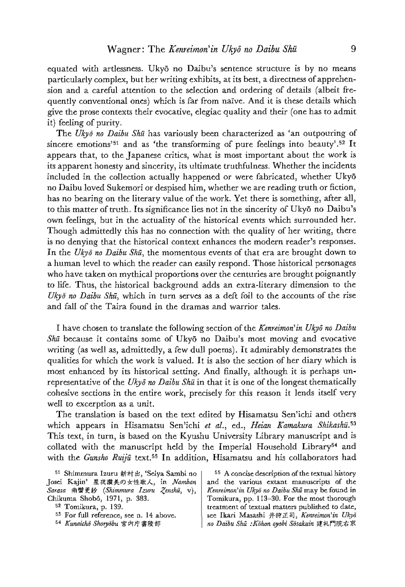equated with artlessness. Ukyd no Daibu's sentence structure is by no means particularly complex, but her writing exhibits, at its best, a directness of apprehension and a careful attention to the selection and ordering of details (albeit frequently conventional ones) which is far from naive. And it is these details which give the prose contexts their evocative, elegiac quality and their (one has to admit it) feeling of purity.

The Ukyō no Daibu Shū has variously been characterized as 'an outpouring of sincere emotions<sup>151</sup> and as 'the transforming of pure feelings into beauty'.<sup>52</sup> It appears that, to the Japanese critics, what is most important about the work is its apparent honesty and sincerity, its ultimate truthfulness. Whether the incidents included in the collection actually happened or were fabricated, whether Ukyd no Daibu loved Sukemorior despised him, whether we are reading truth or fiction, has no bearing on the literary value of the work. Yet there is something, after all, to this matter of truth. Its significance lies not in the sincerity of Ukya no Daibu's own feelings, but in the actuality of the historical events which surrounded her. Though admittedly this has no connection with the quality of her writing, there is no denying that the historical context enhances the modern reader's responses. In the Ukyō no Daibu Shū, the momentous events of that era are brought down to a human level to which the reader can easily respond. Those historical personages who have taken on mythical proportions over the centuries are brought poignantly to life. Thus, the historical background adds an extra-literary dimension to the Ukyō no Daibu Shū, which in turn serves as a deft foil to the accounts of the rise and fall of the Taira found in the dramas and warrior tales.

I have chosen to translate the following section of the Kenreimon' in Ukyō no Daibu  $Sh\bar{u}$  because it contains some of Ukyō no Daibu's most moving and evocative writing (as well as, admittedly, a few dull poems). It admirably demonstrates the qualities for which the workis valued. It is also the section of her diary which is most enhanced by its historical setting. And finally, although it is perhaps unrepresentative of the Ukyō no Daibu Shū in that it is one of the longest thematically cohesive sections in the entire work, precisely for this reason it lends itself very well to excerption as a unit.

The translation is based on the text edited by Hisamatsu Sen'ichi and others which appears in Hisamatsu Sen'ichi et al., ed., Heian Kamakura Shikashu<sup>53</sup> This text, in turn, is based on the Kyushu University Library manuscript and is collated with the manuscript held by the Imperial Household Library<sup>54</sup> and with the Gunsho Ruijū text.<sup>55</sup> In addition, Hisamatsu and his collaborators had

Josei Kajin' 星夜謨美の女性歌人, in Namban | and the various extant manuscripts of the Sarasa 南蠻更紗 (Shimmura Izuru Zenshā, v), Kenreimon'in Ukyā no Daibu Shā may be found in Chikuma Shobé, 1971, p. 383. Tomikura, pp. 113-30. For the most thorough

 $5<sup>1</sup>$  Shimmura Izuru 新村出, 'Seiya Sambi no  $\vert$   $\vert$   $5<sup>5</sup>$  A concise description of the textual history 52 Tomikura, p. 139. Tomikura, p. 139. 53 For full reference, see n. 14 above. see Ikari Masashi 井狩正司, Kenreimon'in Ukyā  $54$  Kunaicho Shoryobu 宮內庁書陵部 | no Daibu Shū :Kohon ayobi Sosakuin 建礼門院右京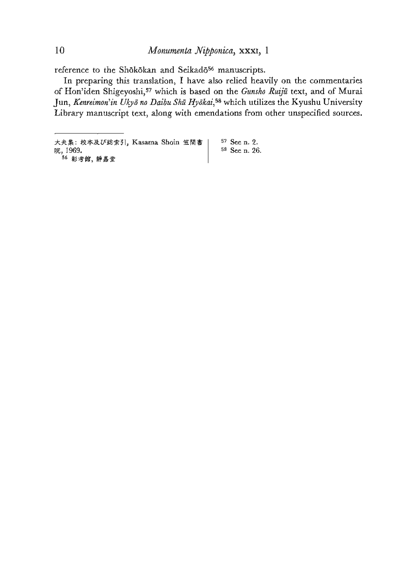reference to the Shōkōkan and Seikadō<sup>56</sup> manuscripts.

In preparing this translation, I have also relied heavily on the commentaries of Hon'iden Shigeyoshi,<sup>57</sup> which is based on the Gunsho Ruijū text, and of Murai Jun, Kenreimon'in Ukyō no Daibu Shū Hyōkai,<sup>58</sup> which utilizes the Kyushu University Library manuscript text, along with emendations from other unspecified sources.

大夫集: 校本及び総索引, Kasama Shoin 笠間書 | 57 See n. 2. 院, 1969. **58** See n. 26. 56 彰考館, 靜嘉堂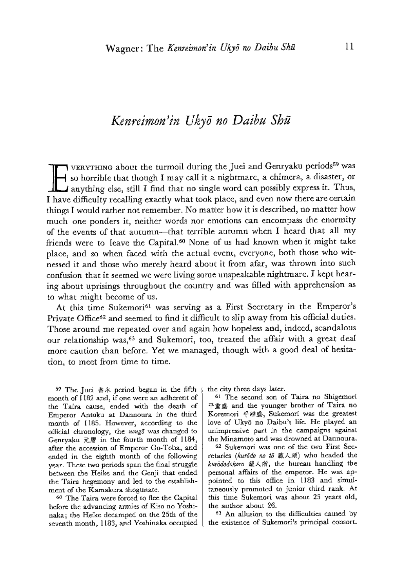## Kenreimon'in Ukyé no Daibu Shi

 $\overline{a}$ VERYTHING about the turmoil during the Juei and Genryaku periods<sup>59</sup> was  $\rightarrow$  so horrible that though I may call it a nightmare, a chimera, a disaster, or **ILM** anything else, still I find that no single word can possibly express it. Thus, T have difficulty recalling exactly what took place, and even now there are certain things I would rather not remember. No matter how it is described, no matter how much one ponders it, neither words nor emotions can encompass the enormity of the events of that autumn---that terrible autumn when I heard that all my friends were to leave the Capital.<sup>60</sup> None of us had known when it might take place, and so when faced with the actual event, everyone, both those who witnessed it and those who merely heard about it from afar, was thrown into such confusion that it seemed we were living some unspeakable nightmare. I kept hearing about uprisings throughout the country and was filled with apprehension as to what might become of us.  $\mathbb{E}$ 

At this time Sukemori<sup>61</sup> was serving as a First Secretary in the Emperor's Private Office<sup>62</sup> and seemed to find it difficult to slip away from his official duties. Those around me repeated over and again how hopeless and, indeed, scandalous our relationship was,<sup>63</sup> and Sukemori, too, treated the affair with a great deal more caution than before. Yet we managed, though with a good deal of hesitation, to meet from time to time.

<sup>59</sup> The Juei  $\frac{2}{3}$  period began in the fifth month of [182 and, if one were an adherent of the Taira cause, ended with the death of Emperor Antoku at Dannoura in the third month of 1185. However, according to the official chronology, the nengo was changed to Genryaku 元曆 in the fourth month of 1184, after the accession of Emperor Go-Toba, and ended in the eighth month of the following year. These two periods span the final struggle between the Heike and the Genji that ended the Taira hegemony and led to the establish-<br>ment of the Kamakura shogunate.

<sup>60</sup> The Taira were forced to flee the Capital before the advancing armies of Kiso no Yoshinaka; the Heike decamped on the 25th of the seventh month, 1183, and Yoshinaka occupied the city three days later.

 $61$  The second son of Taira no Shigemori<br> $\frac{1}{2}$  and the younger brother of Taira no Koremori 平維盛, Sukemori was the greatest love of Ukya no Daibu's life. He played an unimpressive part in the campaigns against the Minamoto and was drowned at Dannoura.

62 Sukemori was ane of the two First Sec retaries (kurodo no to 藏人頭) who headed the kurododokoro 藏人所, the bureau handling the personal affairs of the emperor. He was appointed to this office in 1183 and simultaneously promoted to junior third rank. At this time Sukemori was about 25 years old, the author about 26.

<sup>63</sup> An allusion to the difficulties caused by the existence of Sukemori's principal consort.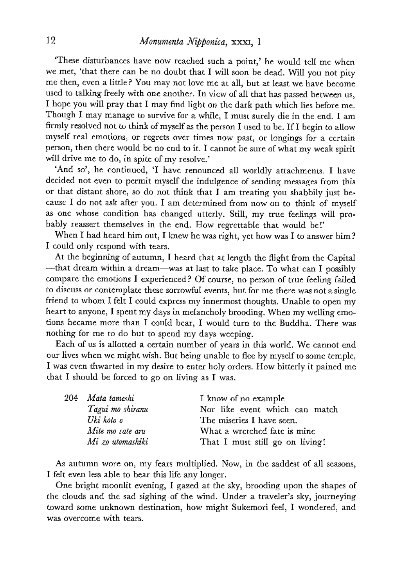'These disturbances have now reached such a point,' he would tell me when we met, 'that there can be no doubt that I will soon be dead. Will you not pity me then, even a little? You may not love me at all, but at least we have become used to talking freely with one another. In view of all that has passed between us, T hope youwill pray that I mayfind light on the dark path which lies before me. Though I may manage to survive for a while, I must surely die in the end. I am firmly resolved not to think of myself as the person I used to be. If I begin to allow myself real emotions, or regrets over times now past, or longings for 2 certain person, then there would be no end to it. I cannot be sure of what my weak spirit will drive me to do, in spite of my resolve.'

'And so', he continued, 'I have renounced all worldly attachments. I have decided not even to permit myself the indulgence of sending messages from this or that distant shore, so do not think that  $\tilde{I}$  am treating you shabbily just because I do not ask after you. I am determined from now on to think of myself as one whose condition has changed utterly. Still, my true feelings will probably reassert themselves in the end. How regrettable that would be!"

When I had heard him out, I knew he was right, yet how was I to answer him? I could only respond with tears.

At the beginning of autumn, I heard that at length the flight from the Capital ~-that dream within a dream—wasatlast to take place. To what can I possibly compare the emotions I experienced? Of course, no person of true feeling failed to discuss or contemplate these sorrowful events, but for me there was not asingle friend to whom I felt I could express my innermost thoughts. Unable to open my heart to anyone, I spent my days in melancholy brooding. When my welling emotions became more than I could bear, I would turn to the Buddha. There was nothing for me to do but to spend my days weeping.

Each of us is allotted a certain number of years in this world. We cannot end our lives when we might wish. But being unable to flee by myself to some temple, I was even thwarted in my desire to enter holy orders. How bitterly it pained me that I should be forced to go on living as I was.

| 204 Mata tameshi | I know of no example            |
|------------------|---------------------------------|
| Tagui mo shiranu | Nor like event which can match  |
| Uki koto o       | The miseries I have seen.       |
| Mite mo sate aru | What a wretched fate is mine    |
| Mi zo utomashiki | That I must still go on living! |

As autumn wore on, my fears multiplied. Now, in the saddest of all seasons, I felt even less able to bear this life any longer.

One bright moonlit evening, <sup>I</sup> gazed at the sky, brooding upon the shapes of the clouds and the sad sighing of the wind. Undera traveler's sky, journeying the clouds and the sad sighing of the wind. Under a traveler's sky, journeying toward some unknown destination, how might Sukemori feel, I wondered, and was overcome with tears.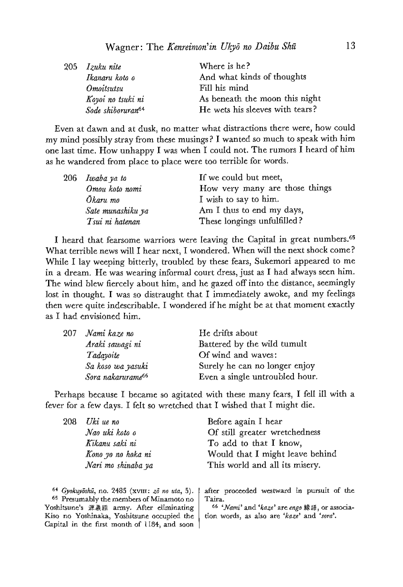|  | 205 Izuku nite                | Where is he?                    |
|--|-------------------------------|---------------------------------|
|  | Ikanaru koto o                | And what kinds of thoughts      |
|  | Omoitsutsu                    | Fill his mind                   |
|  | Koyoi no tsuki ni             | As beneath the moon this night  |
|  | Sode shiboruran <sup>64</sup> | He wets his sleeves with tears? |

Even at dawn and at dusk, no matter what distractions there were, how could my mind possibly stray from these musings? I wanted so much to speak with him one last time. How unhappy <sup>I</sup> was when <sup>I</sup> could not. The rumors <sup>I</sup> heard of him as he wandered from place to place were toa terrible for words.

| 206 Iwaba ya to   | If we could but meet,          |
|-------------------|--------------------------------|
| Omou koto nomi    | How very many are those things |
| Ōkaru mo          | I wish to say to him.          |
| Sate munashiku ya | Am I thus to end my days,      |
| Tsui ni hatenan   | These longings unfulfilled?    |

I heard that fearsome warriors were leaving the Capital in great numbers.<sup>65</sup> What terrible news will I hear next, I wondered. When will the next shock come? While <sup>I</sup> lay weeping bitterly, troubled by these fears, Sukemori appeared to me in a dream. He was wearing informal court dress, just as <sup>I</sup> had always seen him. The wind blew fiercely about him, and he gazed off into the distance, seemingly lost in thought. <sup>I</sup> was so distraught that <sup>I</sup> immediately awoke, and my feelings then were quite indescribable. <sup>I</sup> wondered if he might be at that moment exactly as <sup>I</sup> had envisioned him.

| 207 - Nami kaze no            | He drifts about                |
|-------------------------------|--------------------------------|
| Araki sawagi ni               | Battered by the wild tumult    |
| Tadayoite                     | Of wind and waves:             |
| Sa koso wa yasuki             | Surely he can no longer enjoy  |
| Sora nakarurame <sup>66</sup> | Even a single untroubled hour. |

Perhaps because I became so agitated with these many fears, I fell ill with a fever for a few days. I felt so wretched that I wished that I might die.

| 208 | Uki ue no          | Before again I hear             |
|-----|--------------------|---------------------------------|
|     | Nao uki koto o     | Of still greater wretchedness   |
|     | Kikanu saki ni     | To add to that I know,          |
|     | Kono yo no hoka ni | Would that I might leave behind |
|     | Nari mo shinaba ya | This world and all its misery.  |
|     |                    |                                 |
|     |                    |                                 |

 $64$  Gyokuyōshū, no. 2485 (xvIII:  $z\bar{o}$  no uta, 5). <sup>65</sup> Presumably the members of Minamoto no Yoshitsune's 源義經 army. After eliminating Kiso no Yoshinaka, Yoshitsune occupied the Capital in the first month of 1184, and soon

after proceeded westward in pursuit of the Taira.

66 'Nami' and 'kaze' are engo 緣語, or association words, as also are 'kaze' and 'sara'.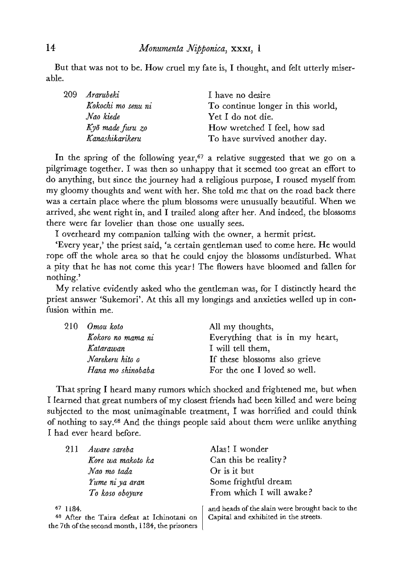But that was not to be. How cruel my fate is, I thought, and felt utterly miserable.

| -209- | Ararubeki          | I have no desire                  |
|-------|--------------------|-----------------------------------|
|       | Kokochi mo senu ni | To continue longer in this world, |
|       | Nao kiede          | Yet I do not die.                 |
|       | Kyō made furu zo   | How wretched I feel, how sad      |
|       | Kanashikarikeru    | To have survived another day.     |

In the spring of the following year,<sup>67</sup> a relative suggested that we go on a pilgrimage together. <sup>I</sup> was then so unhappy that it seemed too great an effort to do anything, but since the journey had a religious purpose, I roused myself from my gloomy thoughts and went with her. She told me that on the road back there was a certain place where the plum blossoms were unusually beautiful. When we arrived, she went right in, and <sup>I</sup> trailed alongafter her. And indeed, the blossoms there were far lovelier than those one usually sees.

I overheard my companion talking with the owner, a hermit priest.

'Every year,' the priest said, 'a certain gentleman used to come here. He would rope off the whole area so that he could enjoy the blossoms undisturbed. What a pity that he has not come this year! The flowers have bloomed and fallen for nothing.'

Myrelative evidently asked who the gentleman was, for <sup>I</sup> distinctly heard the priest answer 'Sukemori'. At this all my longings and anxieties welled up in confusion within me.

|  | 210 Omou koto     | All my thoughts,                |
|--|-------------------|---------------------------------|
|  | Kokoro no mama ni | Everything that is in my heart, |
|  | Katarawan         | I will tell them,               |
|  | Narekeru hito o   | If these blossoms also grieve   |
|  | Hana mo shinobaba | For the one I loved so well.    |

That spring I heard many rumors which shocked and frightened me, but when <sup>I</sup> learned that great numbers of myclosest friends had been killed and were being subjected to the mast unimaginable treatment, I was horrified and could think of nothing to say.68 And the things people said about them were unlike anything <sup>I</sup> had ever heard before.

| 211<br>Aware sareba                                                                            | Alas! I wonder                                  |
|------------------------------------------------------------------------------------------------|-------------------------------------------------|
| Kore wa makoto ka                                                                              | Can this be reality?                            |
| Nao mo tada                                                                                    | Or is it but                                    |
| Yume ni ya aran                                                                                | Some frightful dream                            |
| To koso oboyure                                                                                | From which I will awake?                        |
| 671184.                                                                                        | and heads of the slain were brought back to the |
| 68 After the Taira defeat at Ichinotani on<br>the 7th of the second month, 1184, the prisoners | Capital and exhibited in the streets.           |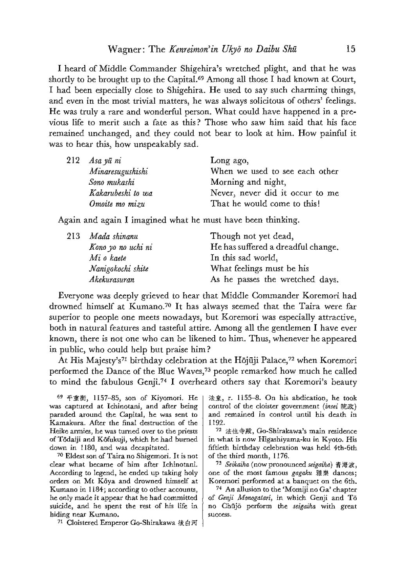<sup>I</sup> heard of Middle Commander Shigehira's wretched plight, and that he was shortly to be brought up to the Capital.<sup>69</sup> Among all those I had known at Court, <sup>I</sup> had been especially close to Shigehira. He used to say such charming things, and even in the most trivial matters, he was always solicitous of others' feelings. He was truly a rare and wonderful person. What could have happened in a previous life to merit such a fate as this? Those who saw him said that his face remained unchanged, and they could not bear to look at him. How painful it was to hear this, how unspeakably sad.

| $212$ Asa yū ni   | Long ago,                       |
|-------------------|---------------------------------|
| Minaresugushishi  | When we used to see each other  |
| Sono mukashi      | Morning and night,              |
| Kakarubeshi to wa | Never, never did it occur to me |
| Omoite mo mizu    | That he would come to this!     |

Again and again <sup>J</sup> imagined what he must have been thinking.

| 213 Mada shinanu   | Though not yet dead,               |
|--------------------|------------------------------------|
| Kono yo no uchi ni | He has suffered a dreadful change. |
| Mi o kaete         | In this sad world,                 |
| Nanigokochi shite  | What feelings must be his          |
| Akekurasuran       | As he passes the wretched days.    |

Everyone was deeply grieved to hear that Middle Commander Koremori had drowned himself at Kumano.<sup>70</sup> It has always seemed that the Taira were far superior to people one meets nowadays, but Koremori was especially attractive, both in natural features and tasteful attire. Among all the gentlemen I have ever known, there is not one who can be likened to him. Thus, whenever he appeared in public, who could help but praise him?

At His Majesty's<sup>71</sup> birthday celebration at the Hōjūji Palace,<sup>72</sup> when Koremori performed the Dance of the Blue Waves,<sup>73</sup> people remarked how much he called to mind the fabulous Genji.<sup>74</sup> I overheard others say that Koremori's beauty

6? #@#i, 1157-85, son of Kiyomori. He was captured at Ichinotani, and after being paraded around the Capital, he was sent to Kamakura. After the final destruction of the Heike armies, he was turned over to the priests of Tédaiji and Kéfukuji, which he had burned. down in 1180, and was decapitated.

<sup>70</sup> Eldest son of Taira no Shigemori.It is not clear what hecame of him after Ichinotani. According to legend, he ended up taking holy orders on Mt Kéya and drowned himself at Kumanoin 1184; accordingto other accounts, he only made it appear that he had committed suicide, and he spent the rest of his life in hiding near Kumano.

71 Cloistered Emperor Go-Shirakawa 後白河

法皇, r. 1155-8. On his abdication, he took control of the cloister government (inset  $\mathbb{R} \mathbb{R}$ ) and remained in control until his death in 1192.

<sup>72</sup> £42, Go-Shirakawa's main residence in what is now Higashiyama-ku in Kyoto. His fiftieth birthday celebration was held 4th-6th of the third month, 1176.

73 Seikaiha (now pronounced seigaiha) 青海波, one of the most famous gagaku 雅樂 dances; Koremori performed at a banquet on the 6th.  $74$  An allusion to the 'Momiji no Ga' chapter

of Genji Monogatari, in which Genji and To no Chūjō perform the seigaiha with great success.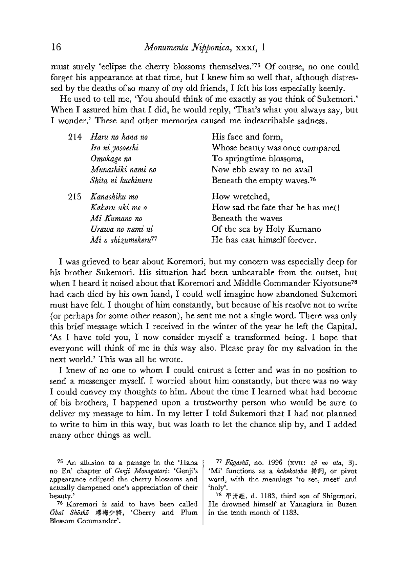must surely 'eclipse the cherry blossoms themselves.'78 Of course, no one could forget his appearance at that time, but I knew him so well that, although distressed by the deaths of so many of myold friends, <sup>J</sup> felt his loss especially keenly.

He used to tell me, 'You should think of me exactly as you think of Sukemori.' When I assured him that I did, he would reply, 'That's what you always say, but <sup>I</sup> wonder.' These and other memories caused me indescribable sadness.

| 214 | Haru no hana no                | His face and form,                     |
|-----|--------------------------------|----------------------------------------|
|     | Iro ni yosoeshi                | Whose beauty was once compared         |
|     | Omokage no                     | To springtime blossoms,                |
|     | Munashiki nami no              | Now ebb away to no avail               |
|     | Shita ni kuchinuru             | Beneath the empty waves. <sup>76</sup> |
|     | 215 Kanashiku mo               | How wretched,                          |
|     | Kakaru uki me o                | How sad the fate that he has met!      |
|     | Mi Kumano no                   | Beneath the waves                      |
|     | Urawa no nami ni               | Of the sea by Holy Kumano              |
|     | Mi o shizumekeru <sup>77</sup> | He has cast himself forever.           |
|     |                                |                                        |

<sup>I</sup> was grieved to hear about Koremori, but my concern was especially deep for his brother Sukemori. His situation had been unbearable from the outset, but when I heard it noised about that Koremori and Middle Commander Kiyotsune<sup>78</sup> had each died by his own hand, <sup>I</sup> could well imagine how abandoned Sukemori must have felt. I thought of him constantly, but because of his resolve not to write (or perhaps for some other reason), he sent me not a single word. There was only this brief message which <sup>I</sup> received in the winter of the year he left the Capital. 'As <sup>I</sup> have told you, <sup>I</sup> now consider myself a transformed being. <sup>I</sup> hope that everyone will think of me in this way also. Please pray for my salvation in the next world.' This was all he wrote.

<sup>I</sup> knew of no one to whom <sup>I</sup> could entrust <sup>a</sup> letter and was in no position to send a messenger myself. <sup>I</sup> worried about him constantly, but there was no way I could convey my thoughts to him. About the time I learned what had become of his brothers, <sup>I</sup> happened upon a trustworthy person who would be sure to deliver my message to him. In myletter <sup>I</sup> told Sukemori that <sup>I</sup> had not planned to write to him in this way, but was loath to let the chance slip by, and I added many other things as well.

<sup>75</sup> An allusion to a passage in the 'Hana no En' chapter of Genji Monogatari: 'Genji's appearance eclipsed the cherry blossoms and actually dampened one's appreciation of their beauty.'

76 Koremori is said to have been called Obai Shasho 樱梅少將, 'Cherry and Plum Blossom Commander'.

77 Fūgashū, no. 1996 (xv $u$ :  $z\bar{o}$  no uta, 3). 'Mi' functions as a kakekotoba 掛詞, or pivot word, with the meanings 'to see, meet' and 'holy'.

<sup>78</sup>  $\overline{r}$ <sup>38</sup>  $\overline{r}$   $\overline{r}$   $\overline{r}$ , d. 1183, third son of Shigemori. He drowned himself at Yanagiura in Buzen in the tenth month of 1183.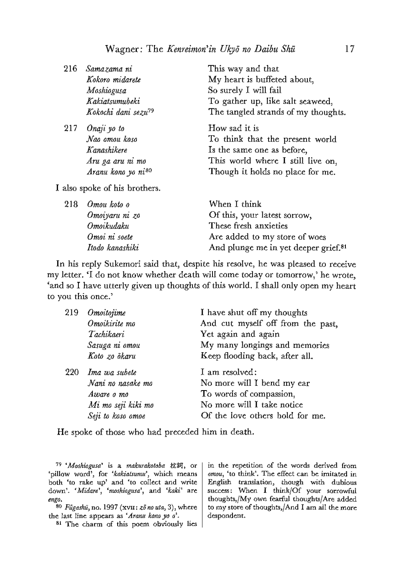| 216 | Samazama ni                     | This way and that                   |
|-----|---------------------------------|-------------------------------------|
|     | Kokoro midarete                 | My heart is buffeted about,         |
|     | Moshiogusa                      | So surely I will fail               |
|     | Kakiatsumubeki                  | To gather up, like salt seaweed,    |
|     | Kokochi dani sezu <sup>79</sup> | The tangled strands of my thoughts. |
|     | $217$ Onaji yo to               | How sad it is                       |
|     | Nao omou koso                   | To think that the present world     |
|     | Kanashikere                     | Is the same one as before,          |
|     | Aru ga aru ni mo                | This world where I still live on,   |
|     | Aranu kono yo ni <sup>80</sup>  | Though it holds no place for me.    |
|     | I also spoke of his brothers.   |                                     |
|     | 218 Omou koto o                 | When I think                        |
|     | Omoiyaru ni zo                  | Of this, your latest sorrow,        |
|     | Omoikudaku                      | These fresh anxieties               |
|     | Omoi ni soete                   | Are added to my store of woes       |

In his reply Sukemori said that, despite his resolve, he was pleased to receive myletter. 'I do not know whether death will come today or tomorrow,' he wrote, 'and so <sup>I</sup> have utterly given up thoughts of this world. <sup>I</sup> shall only open my heart to you this once.'

| Omoitojime         | I have shut off my thoughts       |
|--------------------|-----------------------------------|
| Omoikirite mo      | And cut myself off from the past, |
| Tachikaeri         | Yet again and again               |
| Sasuga ni omou     | My many longings and memories     |
| Koto zo okaru      | Keep flooding back, after all.    |
| Ima wa subete      | I am resolved:                    |
| Nani no nasake mo  | No more will I bend my ear        |
| Aware o mo         | To words of compassion,           |
| Mi mo seji kiki mo | No more will I take notice        |
| Seji to koso omoe  | Of the love others hold for me.   |
|                    |                                   |

He spoke of those who had preceded him in death.

 $79$  'Moshiogusa' is a makurakotoba 枕詞, or 'pillow word', for 'kakiatsumu', which means both 'to rake up' and 'to collect and write down'. 'Midare', 'moshiogusa', and 'kaki' are

todo kanashiki

engo.<br><sup>80</sup> Figashū, no. 1997 (xvut:  $z\bar{o}$  no uta, 3), where the last line appears as 'Aranu kona yo  $o^2$ .

<sup>81</sup> The charm of this poem obviously lies

im the repetition of the words derived from amou, 'to think'. The effect can be imitated in English translation, though with dubious success: When <sup>I</sup> think/Of your sorrowful thoughts,/My own fearful thoughts/Are added to mystore of thoughts,/And <sup>I</sup> am ail the more despondent,

And plunge me in yet deeper grief.<sup>81</sup>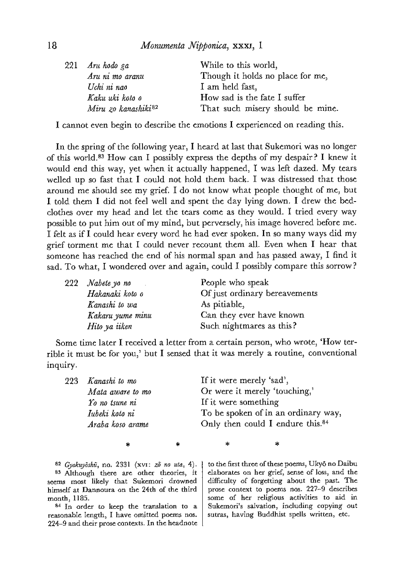| Aru hodo ga                     | While to this world,             |
|---------------------------------|----------------------------------|
| Aru ni mo aranu                 | Though it holds no place for me, |
| Uchi ni nao                     | I am held fast,                  |
| Kaku uki koto o                 | How sad is the fate I suffer     |
| Miru zo kanashiki <sup>82</sup> | That such misery should be mine. |
|                                 |                                  |

<sup>I</sup> cannot even begin to describe the emotions <sup>I</sup> experienced on reading this.

In the spring of the following year, I heard at last that Sukemori was no longer of this world.83 How can <sup>I</sup> possibly express the depths of my despair? <sup>I</sup> knew it would end this way, yet when it actually happened, <sup>I</sup> wasleft dazed. My tears welled up so fast that <sup>I</sup> could not hold them back. <sup>I</sup> was distressed that those around me should see my grief. <sup>I</sup> do not know what people thought of me, but <sup>I</sup> told them <sup>I</sup> did not feel well and spent the day lying down. <sup>I</sup> drew the bedclothes over my head and let the tears come as they would. I tried every way possible to put him out of my mind, but perversely, his image hovered before me. <sup>T</sup> felt as if <sup>I</sup> could hear every word he had ever spoken. In so many ways did my grief torment me that <sup>I</sup> could never recount them all. Even when <sup>I</sup> hear that someone has reached the end of his normal span and has passed away, I find it sad. To what, I wondered over and again, could I possibly compare this sorrow?

|  | 222 Nabete yo no | People who speak              |
|--|------------------|-------------------------------|
|  | Hakanaki koto o  | Of just ordinary bereavements |
|  | Kanashi to wa    | As pitiable,                  |
|  | Kakaru yume minu | Can they ever have known      |
|  | Hito ya iiken    | Such nightmares as this?      |

Some time later I received a letter from a certain person, who wrote, 'How terrible it must be for you,' but <sup>I</sup> sensed that it was merely a routine, conventional inquiry.

| 223 Kanashi to mo | If it were merely 'sad',                     |
|-------------------|----------------------------------------------|
| Mata aware to mo  | Or were it merely 'touching,'                |
| Yo no tsune ni    | If it were something                         |
| Iubeki koto ni    | To be spoken of in an ordinary way,          |
| Araba koso arame  | Only then could I endure this. <sup>84</sup> |
|                   |                                              |
|                   |                                              |

82 Gyokuyōshū, no. 2331 (xvI:  $z\overline{o}$  no uta, 4). 83 Although there are other theories, it seems most likely that Sukemori drowned himself at Dannoura an the 24th of the third month, 1185.<br> $^{84}$  In order to keep the translation to a

reasonable length, <sup>I</sup> have omitted poems nos. 224-9 and their prose contexts. In the headnote to the first three of these poems, Ukyō no Daibu elaborates on her grief, sense of loss, and the difficulty of forgetting about the past. The prose context to poems nos. 227-9 describes some of her religious activities to aid in Sukemori's salvation, including copying out sutras, having Buddhist spells written, etc.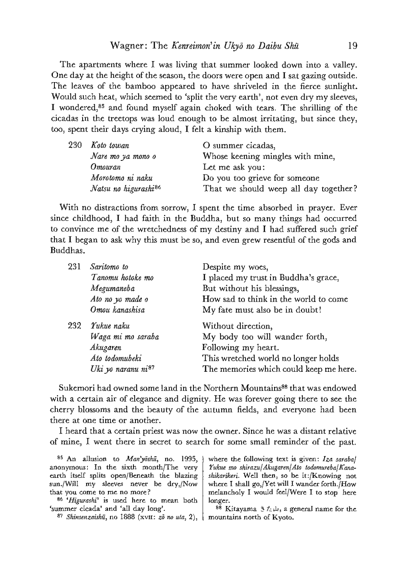The apartments where <sup>I</sup> was living that summer looked down into a valley. One day at the height of the season, the doors were open and I sat gazing outside. The leaves of the bamboo appeared to have shriveled in the fierce sunlight. Would such heat, which seemed to 'split the very earth', not even dry my sleeves, I wondered,<sup>85</sup> and found myself again choked with tears. The shrilling of the cicadas in the treetops was loud enough to be almostirritating, but since they, too, spent their days crying aloud, I felt a kinship with them.

| 230 | Koto towan                       | O summer cicadas,                     |
|-----|----------------------------------|---------------------------------------|
|     | Nare mo ya mono o                | Whose keening mingles with mine,      |
|     | Omouran                          | Let me ask you:                       |
|     | Morotomo ni naku                 | Do you too grieve for someone         |
|     | Natsu no higurashi <sup>86</sup> | That we should weep all day together? |

With no distractions from sorrow, <sup>I</sup> spent the time absorbed in prayer. Ever since childhood, <sup>I</sup> had faith in the Buddha, but so many things had occurred to convince me of the wretchedness of my destiny and <sup>I</sup> had suffered such grief that <sup>I</sup> began to ask why this must be so, and even grew resentful of the gods and Buddhas.

| 231 | Saritomo to<br>Tanomu hotoke mo<br>Megumaneba<br>Ato no yo made o<br>Omou kanashisa             | Despite my woes,<br>I placed my trust in Buddha's grace,<br>But without his blessings,<br>How sad to think in the world to come<br>My fate must also be in doubt! |
|-----|-------------------------------------------------------------------------------------------------|-------------------------------------------------------------------------------------------------------------------------------------------------------------------|
| 232 | Yukue naku<br>Waga mi mo saraba<br>Akugaren<br>Ato todomubeki<br>Uki yo naranu ni <sup>87</sup> | Without direction,<br>My body too will wander forth,<br>Following my heart.<br>This wretched world no longer holds<br>The memories which could keep me here.      |

Sukemori had owned some land in the Northern Mountains<sup>88</sup> that was endowed with a certain air of elegance and dignity. He was forever going there to see the cherry blossoms and the beauty of the autumn fields, and everyone had been there at one time or another.

I heard that a certain priest was now the owner. Since he was a distant relative of mine, <sup>I</sup> went there in secret to search for some small reminder of the past.

anonymous: In the sixth month/The very earth itself splits open/Beneath the blazing sun/Will my sleeves never be dry,/Now that you come to me no more?

86 'Higurashi' is used here to mean both 'summer cicada' and 'all day long'.

87 Shinsenzaishū, no 1888 (xvII: zō no uta, 2),

<sup>85</sup> An allusion to *Man'yôshū*, no. 1995, where the following text is given: Iza sarabaf Yukue mo shirazufAkugaren|Ata todomuraba|Kanashikarikeri. Well then, so be it:/Knowing not where I shall go,/Yet will I wander forth./How melanchaly <sup>I</sup> would feel/Were <sup>I</sup> to stop here longer.

> 88 Kitayama  $\frac{1}{2}$   $\hbar$   $\mu$ , a general name for the mountains north of Kyoto.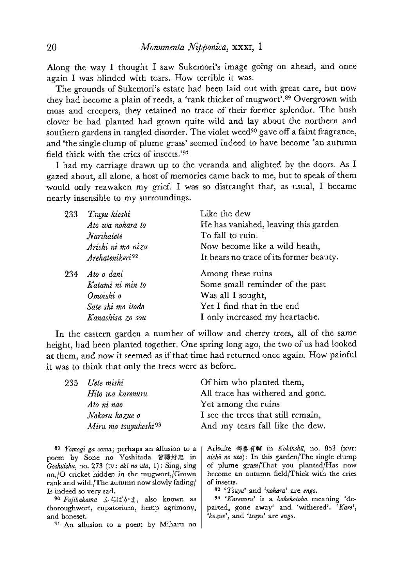Along the way <sup>I</sup> thought <sup>I</sup> saw Sukemori's image going on ahead, and once again <sup>I</sup> was blinded with tears. How terrible it was.

The grounds of Sukemori's estate had been laid out with great care, but now<br>they had become a plain of reeds, a 'rank thicket of mugwort'.<sup>89</sup> Overgrown with moss and creepers, they retained no trace of their former splendor. The bush clover he had planted had grown quite wild and lay about the northern and southern gardens in tangled disorder. The violet weed<sup>90</sup> gave off a faint fragrance, and'the single clump of plumegrass' seemed indeed to have become 'an autumn field thick with the cries of insects.<sup>191</sup>

I had my carriage drawn up to the veranda and alighted by the doors. As I gazed about, all alone, a host of memories came back to me, but to speak of them would only reawaken my grief. <sup>I</sup> was so distraught that, as usual, <sup>I</sup> became nearly insensible to my surroundings.

| 233 | Tsuyu kieshi                | Like the dew                            |
|-----|-----------------------------|-----------------------------------------|
|     | Ato wa nohara to            | He has vanished, leaving this garden    |
|     | Narihatete                  | To fall to ruin.                        |
|     | Arishi ni mo nizu           | Now become like a wild heath,           |
|     | Arehatenikeri <sup>92</sup> | It bears no trace of its former beauty. |
| 234 | Ato o dani                  | Among these ruins                       |
|     | Katami ni min to            | Some small reminder of the past         |
|     | Omoishi o                   | Was all I sought,                       |
|     | Sate shi mo itodo           | Yet I find that in the end              |
|     | Kanashisa zo sou            | I only increased my heartache.          |

In the eastern garden a number of willow and cherry trees, all of the same height, had been planted together. One spring long ago, the two of us had looked at them, and now it seemed asif that time had returned once again. How painful it was to think that only the trees were as before.

| 235 | Uete mishi                       | Of him who planted them,           |
|-----|----------------------------------|------------------------------------|
|     | Hito wa karenuru                 | All trace has withered and gone.   |
|     | Ato ni nao                       | Yet among the ruins                |
|     | Nokoru kozue o                   | I see the trees that still remain, |
|     | Miru mo tsuyukeshi <sup>93</sup> | And my tears fall like the dew.    |

<sup>89</sup> Yomogi ga soma; perhaps an allusion to a poem by Sone no Yoshitada 曾禰好忠 in Goshüishū, no. 273 (IV: aki no uta, 1): Sing, sing on,/O cricket hidden in the mugwort,/Grown rank and wild./The autumn nowslowly fading/ Is indeed so very sad.

90 Fujibakama 3.51 xj also known as thoroughwort, eupatorium, hemp agrimany, and boneset.

<sup>91</sup> An allusion to a poem by Miharu no

Arisuke 御春有輔 in *Kokinshū*, no. 853 (xvt: *aishō no uta*): In this garden/The single clump of plume grass/That you planted/Has now hecome an autumn field/Thick with the cries of insects.

92 'Truyu' and 'nohara' are enga.

93 'Karenuru' is a kakekotoba meaning 'departed, gone away' and 'withered'. 'Kare', 'kozue', and 'tsuyu' are engo.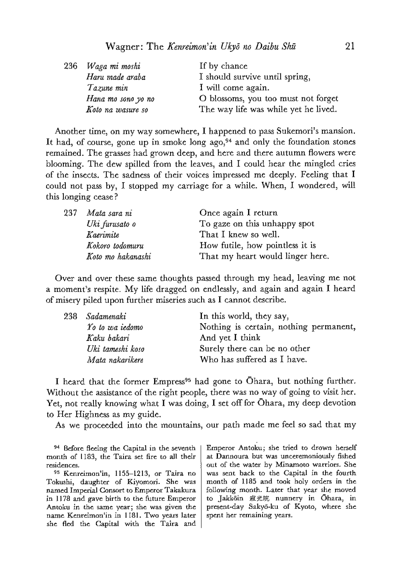|  | 236 Waga mi moshi  | If by chance                         |
|--|--------------------|--------------------------------------|
|  | Haru made araba    | I should survive until spring,       |
|  | Tazune min         | I will come again.                   |
|  | Hana mo sono yo no | O blossoms, you too must not forget  |
|  | Koto na wasure so  | The way life was while yet he lived. |

Another time, on my way somewhere, I happened to pass Sukemori's mansion. It had, of course, gone up in smoke long ago,  $94$  and only the foundation stones remained. The grasses had grown deep, and here and there autumn flowers were blooming. The dew spilled from the leaves, and <sup>I</sup> could hear the mingled cries of the insects. The sadness of their voices impressed me deeply. Feeling that <sup>I</sup> could not pass by, <sup>I</sup> stopped my carriage for a while. When, <sup>I</sup> wondered, will this longing cease?

| 237 | Mata sara ni      | Once again I return              |
|-----|-------------------|----------------------------------|
|     | Uki furusato o    | To gaze on this unhappy spot     |
|     | Kaerimite         | That I knew so well.             |
|     | Kokoro todomuru   | How futile, how pointless it is  |
|     | Koto mo hakanashi | That my heart would linger here. |

Over and over these same thoughts passed through my head, leaving me not a moment's respite. Mylife dragged on endlessly, and again and again <sup>I</sup> heard of misery piled upon further miseries such as <sup>I</sup> cannot describe.

|  | 238 Sadamenaki   | In this world, they say,               |
|--|------------------|----------------------------------------|
|  | Yo to wa iedomo  | Nothing is certain, nothing permanent, |
|  | Kaku bakari      | And yet I think                        |
|  | Uki tameshi koso | Surely there can be no other           |
|  | Mata nakarikere  | Who has suffered as I have.            |

I heard that the former Empress<sup>95</sup> had gone to Ohara, but nothing further. Without the assistance of the right people, there was no way of going to visit her. Yet, not really knowing what <sup>I</sup> was doing, <sup>I</sup> set off for Ohara, my deep devotion to Her Highness as my guide.

As we proceeded into the mountains, our path made mefeel so sad that my

Emperor Antoku; she tried to drown herself at Dannoura but was unceremaniously fished out of the water by Minamoto warriors. She was sent back to the Capital in the fourth, month of 1185 and took holy orders in the following month. Later that year she moved to Jakkoin 寂光院 nunnery in Ohara, in present-day Sakyé-ku of Kyoto, where she spent her remaining years.

<sup>&</sup>lt;sup>94</sup> Before fleeing the Capital in the seventh month of 1183, the Taira set fire to all their residences.

<sup>95</sup> Kenreimon'in, 1155-1213, or Taira no Tokushi, daughter of Kiyomori. She was named Imperial Consort to Emperor Takakura in 1178 and gave birth to the future Emperor Antoku in the same year; she was given the name Kenreimon'in in 1181. Two years later she fled the Capital with the Taira and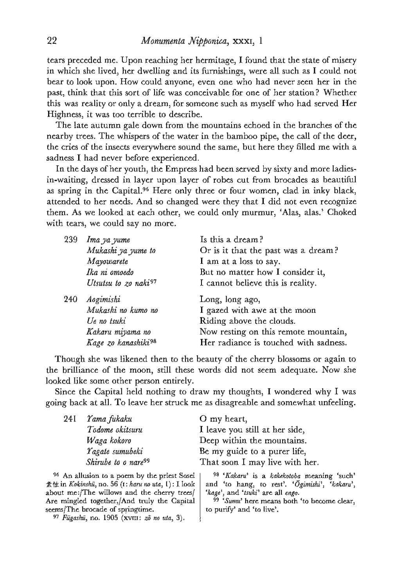tears preceded me. Upon reaching her hermitage, I found that the state of misery in which she lived, her dwelling and its furnishings, were all such as I could not bear to look upon. How could anyone, even one who had never seen her in the past, think that this sort of life was conceivable for one of her station? Whether this was reality or only a dream, for someone such as myself who had served Her Highness, it was too terrible to describe.

The late autumn gale down from the mountains echoed in the branches of the nearby trees. The whispers of the water in the bamboo pipe, the call of the deer, the cries of the insects everywhere sound the same, but here they filled me with a sadness I had never before experienced.

In the days of her youth, the Empress had been served by sixty and moreladiesin-waiting, dressed in layer upon layer of robes cut from brocades as beautiful as spring in the Capital.<sup>96</sup> Here only three or four women, clad in inky black, attended to her needs. And so changed were they that <sup>I</sup> did not even recognize them. As we looked at each other, we could only murmur, 'Alas, alas.' Choked with tears, we could say no more.

| 239 | Ima ya yume                      | Is this a dream?                      |
|-----|----------------------------------|---------------------------------------|
|     | Mukashi ya yume to               | Or is it that the past was a dream?   |
|     | Mayowarete                       | I am at a loss to say.                |
|     | Ika ni omoedo                    | But no matter how I consider it,      |
|     | Utsutsu to zo naki <sup>97</sup> | I cannot believe this is reality.     |
| 240 | Aogimishi                        | Long, long ago,                       |
|     | Mukashi no kumo no               | I gazed with awe at the moon          |
|     | Ue no tsuki                      | Riding above the clouds.              |
|     | Kakaru miyama no                 | Now resting on this remote mountain,  |
|     | Kage zo kanashiki98              | Her radiance is touched with sadness. |

Though she was likened then to the beauty of the cherry blossoms or again to the brilliance of the moon, still these words did not seem adequate. Now she looked like some other person entirely.

Since the Capital held nothing to draw my thoughts, <sup>I</sup> wondered why <sup>I</sup> was going back at all. To leave her struck me as disagreable and somewhat unfeeling.

| 24 I | Yama fukaku                                             | O my heart,                                |
|------|---------------------------------------------------------|--------------------------------------------|
|      | Todome okitsuru                                         | I leave you still at her side,             |
|      | Waga kokoro                                             | Deep within the mountains.                 |
|      | Yagate sumubeki                                         | Be my guide to a purer life,               |
|      | Shirube to o nare <sup>99</sup>                         | That soon I may live with her.             |
|      | <sup>96</sup> An allusion to a poem by the priest Sosei | 98 'Kakaru' is a kakekotoba meaning 'such' |

 $\hat{\mathbb{R}}$  the in Kokinshū, no. 56 (1: haru no uta, I): I look about me:/The willows and the cherry trees/ Are mingled together,/And truly the Capital seems/The brocade of springtime.

97 Fūgashū, no. 1905 (XVIII:  $z\bar{o}$  no uta, 3).

and 'to hang, to rest'. ' $\tilde{O}gimishi'$ , 'kakaru', 'kage', and 'tsuki' are all engo.

99 'Sumu' here means both 'to become clear, to purify' and'talive'.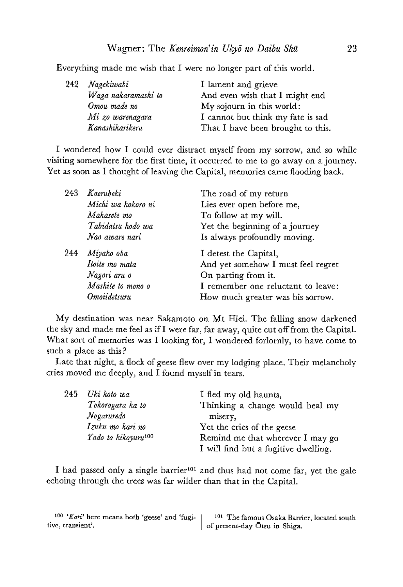Everything made me wish that I were no longer part of this world.

| 242 | Nagekiwabi          | I lament and grieve               |
|-----|---------------------|-----------------------------------|
|     | Waga nakaramashi to | And even wish that I might end    |
|     | Omou made no        | My sojourn in this world:         |
|     | Mi zo warenagara    | I cannot but think my fate is sad |
|     | Kanashikarikeru     | That I have been brought to this. |

<sup>I</sup> wondered how <sup>I</sup> could ever distract myself from my sorrow, and so while visiting somewhere for the first time, it occurred to me to go away on a journey. Yet as soon as I thought of leaving the Capital, memories came flooding back.

| 243 | Kaerubeki          | The road of my return              |
|-----|--------------------|------------------------------------|
|     | Michi wa kokoro ni | Lies ever open before me,          |
|     | Makasete mo        | To follow at my will.              |
|     | Tabidatsu hodo wa  | Yet the beginning of a journey     |
|     | Nao aware nari     | Is always profoundly moving.       |
| 244 | Miyako oba         | I detest the Capital,              |
|     | Itoite mo mata     | And yet somehow I must feel regret |
|     | Nagori aru o       | On parting from it.                |
|     | Mashite to mono o  | I remember one reluctant to leave: |
|     | Omoiidetsuru       | How much greater was his sorrow.   |

My destination was near Sakamoto on Mt Hiei. The falling snow darkened the sky and made mefeel as if <sup>I</sup> werefar, far away, quite cut off from the Capital. What sort of memories was I looking for, I wondered forlornly, to have come to such a place as this?

Late that night, <sup>a</sup> flock of geese flew over my lodging place. Their melancholy cries moved medeeply, and <sup>I</sup> found myselfin tears.

| 245 | Uki koto wa<br>Tokorogara ka to<br>Nogaruredo       | I fled my old haunts,<br>Thinking a change would heal my<br>misery,      |
|-----|-----------------------------------------------------|--------------------------------------------------------------------------|
|     | Izuku mo kari no<br>Yado to kikoyuru <sup>100</sup> | Yet the cries of the geese                                               |
|     |                                                     | Remind me that wherever I may go<br>I will find but a fugitive dwelling. |

I had passed only a single barrier<sup>101</sup> and thus had not come far, yet the gale echoing through the trees was far wilder than that in the Capital.

| $100$ 'Kari' here means both 'geese' and 'fugi- | <sup>101</sup> The famous Osaka Barrier, located south |
|-------------------------------------------------|--------------------------------------------------------|
| tive, transient'.                               | of present-day Ōtsu in Shiga.                          |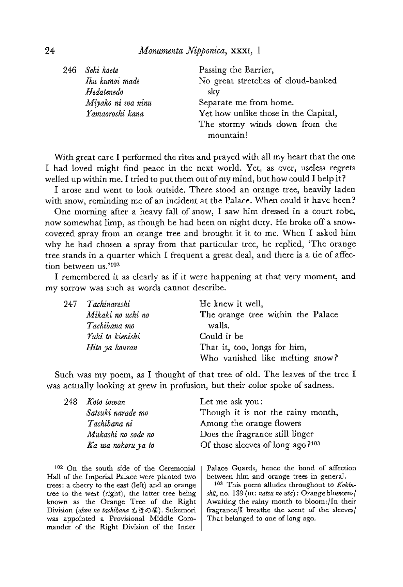| 246 | Seki koete        | Passing the Barrier,                 |
|-----|-------------------|--------------------------------------|
|     | Iku kumoi made    | No great stretches of cloud-banked   |
|     | Hedatenedo        | skv                                  |
|     | Miyako ni wa ninu | Separate me from home.               |
|     | Yamaoroshi kana   | Yet how unlike those in the Capital, |
|     |                   | The stormy winds down from the       |
|     |                   | mountain!                            |

With great care <sup>I</sup> performed the rites and prayed with all my heart that the one <sup>I</sup> had loved might find peace in the next world. Yet, as ever, useless regrets welled up within me.I tried to put them out of my mind, but how could <sup>I</sup> help it?

I arose and went to look outside. There stood an orange tree, heavily laden with snow, reminding me of an incident at the Palace. When could it have been?

One morning after a heavy fall of snow, <sup>I</sup> saw him dressed in a court robe, now somewhat limp, as though he had been on night duty. He broke off a snowcovered spray from an orange tree and brought it it to me. When I asked him why he had chosen a spray from that particular tree, he replied, "The orange tree stands in a quarter which <sup>I</sup> frequent <sup>a</sup> great deal, and there is a tie of affection between us.<sup>1102</sup>

<sup>I</sup> remembered it as clearly as if it were happening at that very moment, and. my sorrow was such as words cannot describe.

|  | 247 Tachinareshi  | He knew it well,                  |
|--|-------------------|-----------------------------------|
|  | Mikaki no uchi no | The orange tree within the Palace |
|  | Tachibana mo      | walls.                            |
|  | Yuki to kienishi  | Could it be                       |
|  | Hito ya kouran    | That it, too, longs for him,      |
|  |                   | Who vanished like melting snow?   |

Such was my poem, as <sup>I</sup> thought of that tree of old. The leaves of the tree <sup>I</sup> was actually looking at grew in profusion, but their color spoke of sadness.

| 248 | Koto towan         | Let me ask you:                   |
|-----|--------------------|-----------------------------------|
|     | Satsuki narade mo  | Though it is not the rainy month, |
|     | Tachibana ni       | Among the orange flowers          |
|     | Mukashi no sode no | Does the fragrance still linger   |
|     | Ka wa nokoru ya to | Of those sleeves of long ago?103  |

 $102$  On the south side of the Ceremonial Palace Guards, hence the bond of affection Hall of the Imperial Palace were planted two between him and orange trees in general. trees: a cherry to the east (left) and an orange tree to the west (right), the latter tree being known as the Orange Tree of the Right Division (ukon na tachibana 右近の橋). Sukemori was appointed a Provisional Middle Commander of the Right Division of the Inner

between him and orange trees in general.

<sup>403</sup> This poem alludes throughout to Kokin  $sh\tilde{u}$ , no. 139 (III: natsu no uta): Orange blossoms/ Awaiting the tainy month ta bloom:/In their fragrance/E breathe the scent of the sleeves/ That belonged to one of long ago.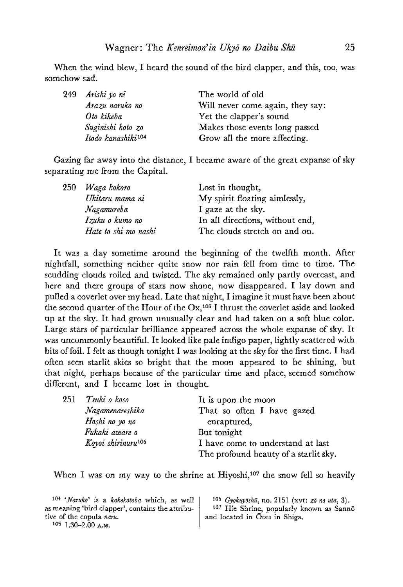When the wind blew, <sup>I</sup> heard the sound of the bird clapper, and this, too, was somehow sad.

| 249 | Arishi yo ni                   | The world of old                 |
|-----|--------------------------------|----------------------------------|
|     | Arazu naruko no                | Will never come again, they say: |
|     | Oto kikeba                     | Yet the clapper's sound          |
|     | Suginishi koto zo              | Makes those events long passed   |
|     | Itodo kanashiki <sup>104</sup> | Grow all the more affecting.     |

Gazing far away into the distance, I became aware of the great expanse of sky separating me from the Capital.

| 250 | Waga kokoro          | Lost in thought,                |
|-----|----------------------|---------------------------------|
|     | Ukitaru mama ni      | My spirit floating aimlessly,   |
|     | Nagamureba           | I gaze at the sky.              |
|     | Izuku o kumo no      | In all directions, without end, |
|     | Hate to shi mo nashi | The clouds stretch on and on.   |

It was a day sometime around the beginning of the twelfth month. After nightfall, something neither quite snow nor rain fell from time to time. The scudding clouds roiled and twisted. The sky remained only partly overcast, and here and there groups of stars now shone, now disappeared. <sup>I</sup> lay down and pulled <sup>a</sup> coverlet over my head. Late that night, <sup>I</sup> imagine it must have been about the second quarter of the Hour of the  $Ox$ ,<sup>105</sup> I thrust the coverlet aside and looked up at the sky. It had grown unusually clear and had taken on a soft blue color. Large stars of particular brilliance appeared across the whole expanse of sky. It was uncommonly beautiful. It looked like pale indigo paper, lightly scattered with bits of foil. I felt as though tonight I was looking at the sky for the first time. I had often seen starlit skies so bright that the moon appeared to be shining, but that night, perhaps because of the particular time and place, seemed somehow different, and I became lost in thought.

| 251 | Tsuki o koso                   | It is upon the moon                   |
|-----|--------------------------------|---------------------------------------|
|     | Nagamenareshika                | That so often I have gazed            |
|     | Hoshi no yo no                 | enraptured,                           |
|     | Fukaki aware o                 | But tonight                           |
|     | Koyoi shirinuru <sup>106</sup> | I have come to understand at last     |
|     |                                | The profound beauty of a starlit sky. |

When I was on my way to the shrine at Hiyoshi,<sup>107</sup> the snow fell so heavily

<sup>104</sup> '*Naruko*' is a *kakekotaba* which, as well  $^{106}$  *Gyokuyōshū*, no. 2151 (xvt:  $z\bar{o}$  no uta, 3).<br>as meaning 'bird clapper', contains the attribu-  $^{107}$  Hie Shrine, popularly known as Sannō as meaning 'bird clapper', contains the attribu-<br>tive of the copula naru,<br>and located in Otsu in Shiga,

 $105$  1,30-2.00 A.M.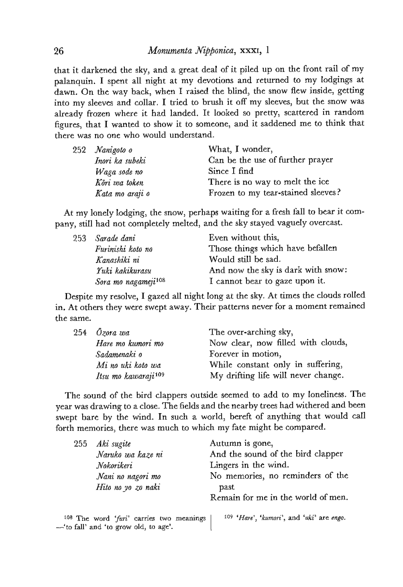that it darkened the sky, and a great deal of it piled up on the front rail of my palanquin. <sup>I</sup> spent all night at my devotions and returned to my lodgings at dawn. On the way back, when <sup>I</sup> raised the blind, the snow flew inside, getting into my sleeves and collar. I tried to brush it off my sleeves, but the snow was already frozen where it had landed. It looked so pretty, scattered in random figures, that <sup>I</sup> wanted to show it to someone, and it saddened me to think that there was no one who would understand.

|  | 252 Nanigoto o  | What, I wonder,                    |
|--|-----------------|------------------------------------|
|  | Inori ka subeki | Can be the use of further prayer   |
|  | Waga sode no    | Since I find                       |
|  | Kõri wa token   | There is no way to melt the ice    |
|  | Kata mo araji o | Frozen to my tear-stained sleeves? |

At my lonely lodging, the snow, perhaps waiting for <sup>a</sup> fresh fall to bear it company, still had not completely melted, and the sky stayed vaguely overcast.

| 253 | Sarade dani                     | Even without this,                 |
|-----|---------------------------------|------------------------------------|
|     | Furinishi koto no               | Those things which have befallen   |
|     | Kanashiki ni                    | Would still be sad.                |
|     | Yuki kakikurasu                 | And now the sky is dark with snow: |
|     | Sora mo nagameji <sup>108</sup> | I cannot bear to gaze upon it.     |

Despite my resolve, I gazed all night long at the sky. At times the clouds rolled in, At others they were swept away. Their patterns never for a moment remained the same.

|  | 254 <i>Özora</i> wa             | The over-arching sky,               |
|--|---------------------------------|-------------------------------------|
|  | Hare mo kumori mo               | Now clear, now filled with clouds,  |
|  | Sadamenaki o                    | Forever in motion,                  |
|  | Mi no uki koto wa               | While constant only in suffering,   |
|  | Itsu mo kawaraji <sup>109</sup> | My drifting life will never change. |

The sound of the bird clappers outside seemed to add to my loneliness. The year was drawing to a close. The fields and the nearby trees had withered and been swept bare by the wind. In such a world, bereft of anything that would call forth memories, there was much to which my fate might be compared.

| 255 Aki sugite<br>Naruko wa kaze ni<br>Nokorikeri<br>Nani no nagori mo<br>Hito no yo zo naki | Autumn is gone,<br>And the sound of the bird clapper<br>Lingers in the wind.<br>No memories, no reminders of the<br>past<br>Remain for me in the world of men. |
|----------------------------------------------------------------------------------------------|----------------------------------------------------------------------------------------------------------------------------------------------------------------|
|                                                                                              |                                                                                                                                                                |

108 The word 'furi' carries two meanings  $109$  'Hare', 'kumori', and 'uki' are engo. — 'to fall' and 'to grow old, to age'.